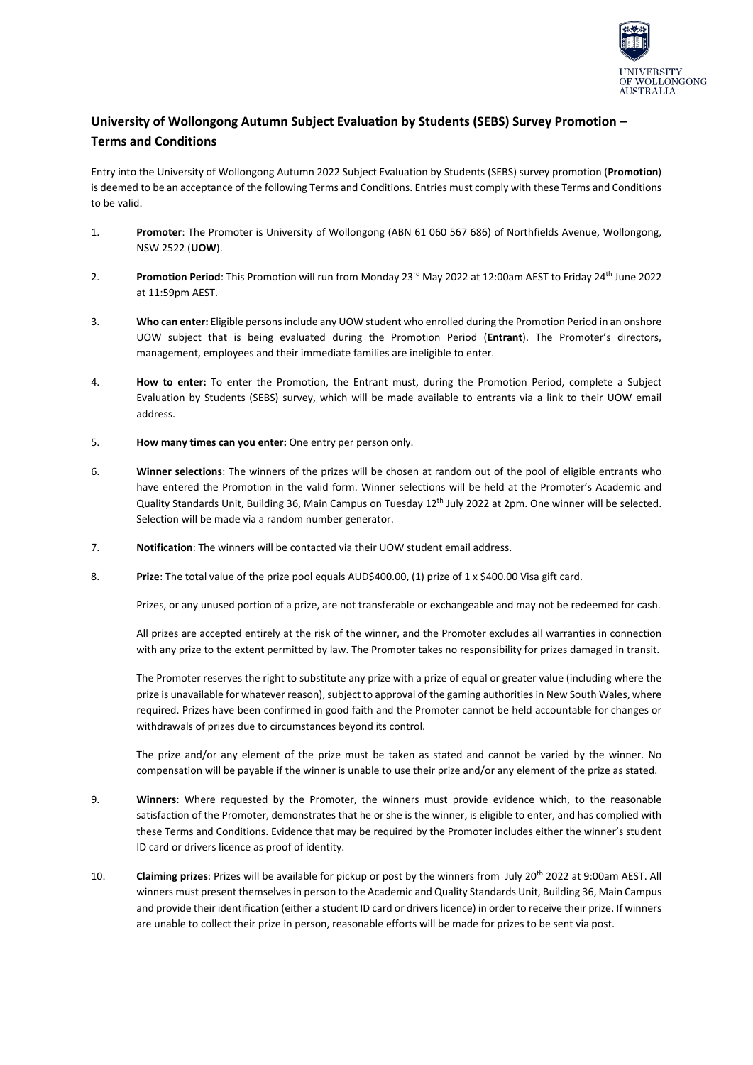

## **University of Wollongong Autumn Subject Evaluation by Students (SEBS) Survey Promotion – Terms and Conditions**

Entry into the University of Wollongong Autumn 2022 Subject Evaluation by Students (SEBS) survey promotion (**Promotion**) is deemed to be an acceptance of the following Terms and Conditions. Entries must comply with these Terms and Conditions to be valid.

- 1. **Promoter**: The Promoter is University of Wollongong (ABN 61 060 567 686) of Northfields Avenue, Wollongong, NSW 2522 (**UOW**).
- 2. **Promotion Period**: This Promotion will run from Monday 23rd May 2022 at 12:00am AEST to Friday 24th June 2022 at 11:59pm AEST.
- 3. **Who can enter:** Eligible persons include any UOW student who enrolled during the Promotion Period in an onshore UOW subject that is being evaluated during the Promotion Period (**Entrant**). The Promoter's directors, management, employees and their immediate families are ineligible to enter.
- 4. **How to enter:** To enter the Promotion, the Entrant must, during the Promotion Period, complete a Subject Evaluation by Students (SEBS) survey, which will be made available to entrants via a link to their UOW email address.
- 5. **How many times can you enter:** One entry per person only.
- 6. **Winner selections**: The winners of the prizes will be chosen at random out of the pool of eligible entrants who have entered the Promotion in the valid form. Winner selections will be held at the Promoter's Academic and Quality Standards Unit, Building 36, Main Campus on Tuesday 12<sup>th</sup> July 2022 at 2pm. One winner will be selected. Selection will be made via a random number generator.
- 7. **Notification**: The winners will be contacted via their UOW student email address.
- 8. **Prize**: The total value of the prize pool equals AUD\$400.00, (1) prize of 1 x \$400.00 Visa gift card.

Prizes, or any unused portion of a prize, are not transferable or exchangeable and may not be redeemed for cash.

All prizes are accepted entirely at the risk of the winner, and the Promoter excludes all warranties in connection with any prize to the extent permitted by law. The Promoter takes no responsibility for prizes damaged in transit.

The Promoter reserves the right to substitute any prize with a prize of equal or greater value (including where the prize is unavailable for whatever reason), subject to approval of the gaming authorities in New South Wales, where required. Prizes have been confirmed in good faith and the Promoter cannot be held accountable for changes or withdrawals of prizes due to circumstances beyond its control.

The prize and/or any element of the prize must be taken as stated and cannot be varied by the winner. No compensation will be payable if the winner is unable to use their prize and/or any element of the prize as stated.

- 9. **Winners**: Where requested by the Promoter, the winners must provide evidence which, to the reasonable satisfaction of the Promoter, demonstrates that he or she is the winner, is eligible to enter, and has complied with these Terms and Conditions. Evidence that may be required by the Promoter includes either the winner's student ID card or drivers licence as proof of identity.
- 10. **Claiming prizes**: Prizes will be available for pickup or post by the winners from July 20th 2022 at 9:00am AEST. All winners must present themselves in person to the Academic and Quality Standards Unit, Building 36, Main Campus and provide their identification (either a student ID card or drivers licence) in order to receive their prize. If winners are unable to collect their prize in person, reasonable efforts will be made for prizes to be sent via post.